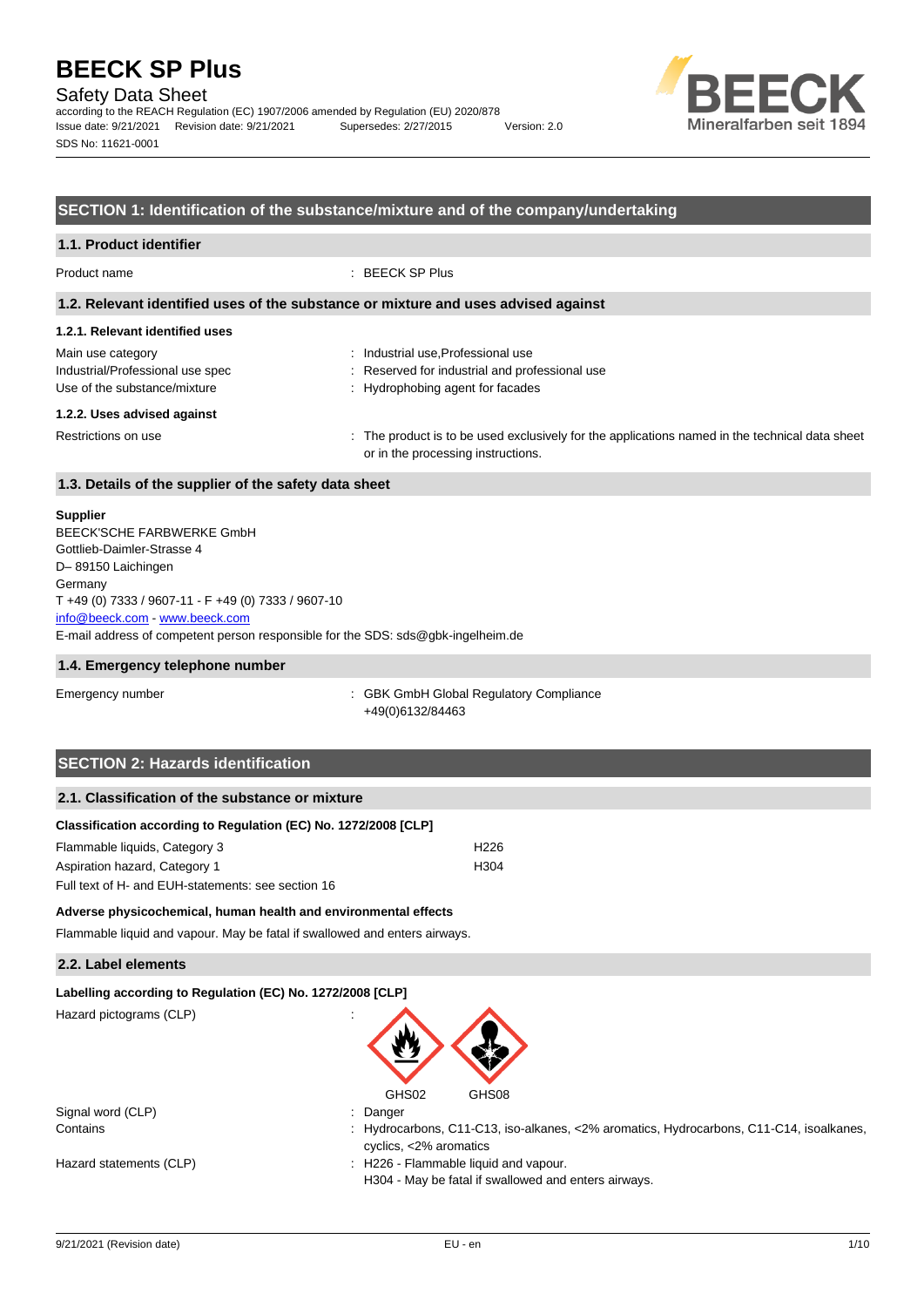## Safety Data Sheet

according to the REACH Regulation (EC) 1907/2006 amended by Regulation (EU) 2020/878 Issue date: 9/21/2021 Revision date: 9/21/2021 Supersedes: 2/27/2015 Version: 2.0 SDS No: 11621-0001



## **SECTION 1: Identification of the substance/mixture and of the company/undertaking**

| 1.1. Product identifier                                                               |                                                                                                                                      |
|---------------------------------------------------------------------------------------|--------------------------------------------------------------------------------------------------------------------------------------|
| Product name                                                                          | $\therefore$ BEECK SP Plus                                                                                                           |
|                                                                                       | 1.2. Relevant identified uses of the substance or mixture and uses advised against                                                   |
| 1.2.1. Relevant identified uses                                                       |                                                                                                                                      |
| Main use category<br>Industrial/Professional use spec<br>Use of the substance/mixture | : Industrial use, Professional use<br>: Reserved for industrial and professional use<br>: Hydrophobing agent for facades             |
| 1.2.2. Uses advised against                                                           |                                                                                                                                      |
| Restrictions on use                                                                   | : The product is to be used exclusively for the applications named in the technical data sheet<br>or in the processing instructions. |
| 1.3. Details of the supplier of the safety data sheet                                 |                                                                                                                                      |
| Supplier                                                                              |                                                                                                                                      |

| BEECK'SCHE FARBWERKE GmbH                                                        |
|----------------------------------------------------------------------------------|
| Gottlieb-Daimler-Strasse 4                                                       |
| D-89150 Laichingen                                                               |
| Germany                                                                          |
| T +49 (0) 7333 / 9607-11 - F +49 (0) 7333 / 9607-10                              |
| info@beeck.com www.beeck.com                                                     |
| E-mail address of competent person responsible for the SDS: sds@qbk-ingelheim.de |
|                                                                                  |

#### **1.4. Emergency telephone number**

Emergency number : GBK GmbH Global Regulatory Compliance +49(0)6132/84463

# **SECTION 2: Hazards identification**

| Classification according to Regulation (EC) No. 1272/2008 [CLP] |                  |
|-----------------------------------------------------------------|------------------|
| Flammable liquids, Category 3                                   | H <sub>226</sub> |
| Aspiration hazard, Category 1                                   | H304             |
| Full text of H- and EUH-statements: see section 16              |                  |

### **Adverse physicochemical, human health and environmental effects**

Flammable liquid and vapour. May be fatal if swallowed and enters airways.

### **2.2. Label elements**

| Labelling according to Regulation (EC) No. 1272/2008 [CLP] |  |
|------------------------------------------------------------|--|
|------------------------------------------------------------|--|

Hazard pictograms (CLP) :



| Signal word (CLP)       | Danger                                                                                                            |
|-------------------------|-------------------------------------------------------------------------------------------------------------------|
| Contains                | : Hydrocarbons, C11-C13, iso-alkanes, <2% aromatics, Hydrocarbons, C11-C14, isoalkanes,<br>cyclics, <2% aromatics |
| Hazard statements (CLP) | : H226 - Flammable liquid and vapour.<br>H304 - May be fatal if swallowed and enters airways.                     |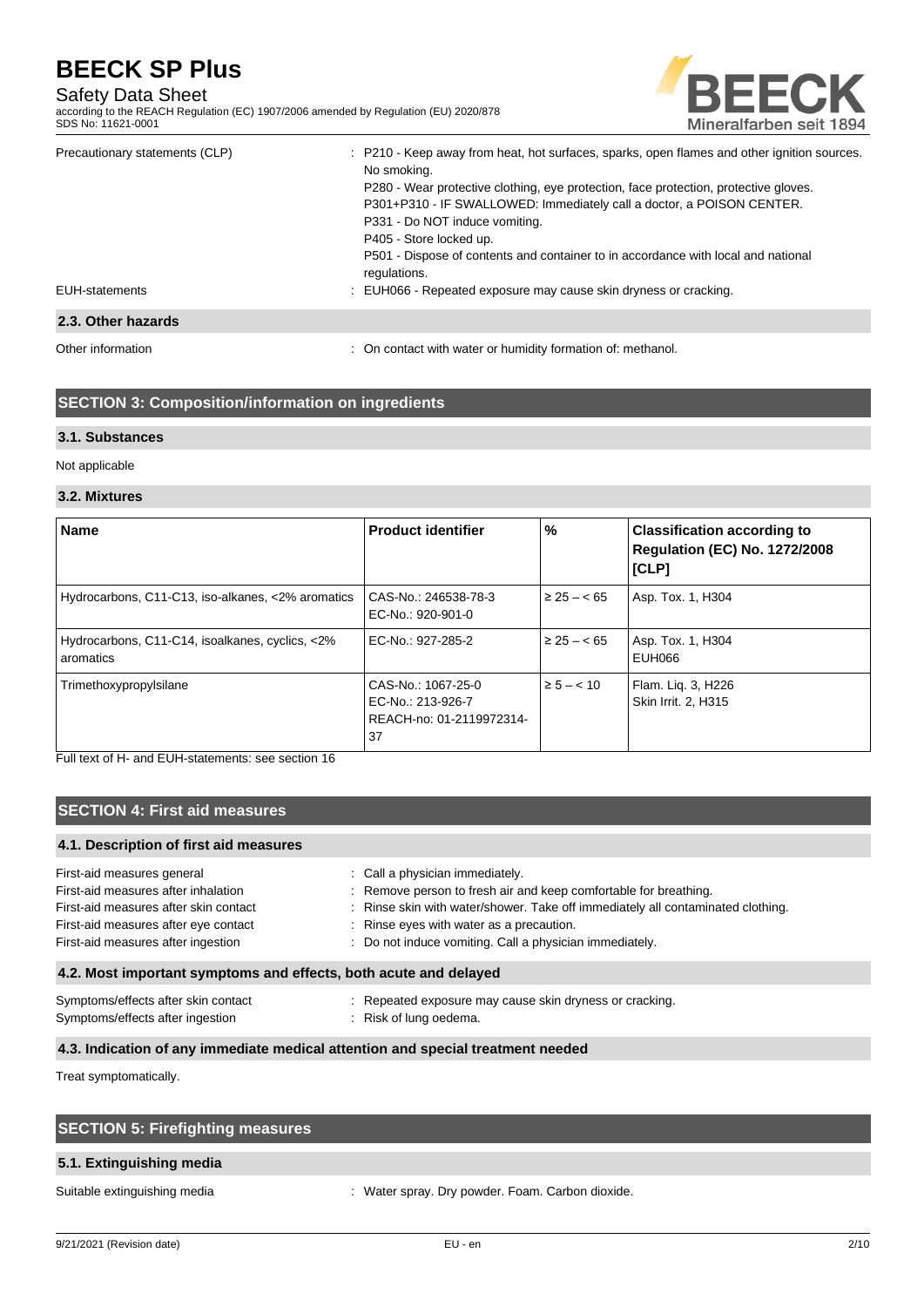# Safety Data Sheet

according to the REACH Regulation (EC) 1907/2006 amended by Regulation (EU) 2020/878 SDS No: 11621-0001



| Precautionary statements (CLP) | : P210 - Keep away from heat, hot surfaces, sparks, open flames and other ignition sources. |
|--------------------------------|---------------------------------------------------------------------------------------------|
|                                | No smoking.                                                                                 |
|                                | P280 - Wear protective clothing, eye protection, face protection, protective gloves.        |
|                                | P301+P310 - IF SWALLOWED: Immediately call a doctor, a POISON CENTER.                       |
|                                | P331 - Do NOT induce vomiting.                                                              |
|                                | P405 - Store locked up.                                                                     |
|                                | P501 - Dispose of contents and container to in accordance with local and national           |
|                                | regulations.                                                                                |
| EUH-statements                 | : EUH066 - Repeated exposure may cause skin dryness or cracking.                            |
| 2.3. Other hazards             |                                                                                             |
|                                |                                                                                             |

Other information **intervals and the contact with water or humidity formation of: methanol.** On contact with water or humidity formation of: methanol.

# **SECTION 3: Composition/information on ingredients**

### **3.1. Substances**

Not applicable

#### **3.2. Mixtures**

| <b>Name</b>                                                  | <b>Product identifier</b>                                                 | %              | <b>Classification according to</b><br><b>Regulation (EC) No. 1272/2008</b><br>[CLP] |
|--------------------------------------------------------------|---------------------------------------------------------------------------|----------------|-------------------------------------------------------------------------------------|
| Hydrocarbons, C11-C13, iso-alkanes, <2% aromatics            | CAS-No.: 246538-78-3<br>EC-No.: 920-901-0                                 | $\geq 25 - 65$ | Asp. Tox. 1, H304                                                                   |
| Hydrocarbons, C11-C14, isoalkanes, cyclics, <2%<br>aromatics | EC-No.: 927-285-2                                                         | $\geq 25 - 65$ | Asp. Tox. 1, H304<br>EUH066                                                         |
| Trimethoxypropylsilane                                       | CAS-No.: 1067-25-0<br>EC-No.: 213-926-7<br>REACH-no: 01-2119972314-<br>37 | $\ge 5 - < 10$ | Flam. Lig. 3, H226<br>Skin Irrit. 2. H315                                           |

Full text of H- and EUH-statements: see section 16

# **SECTION 4: First aid measures**

## **4.1. Description of first aid measures**

| First-aid measures general                                       | : Call a physician immediately.                                                 |
|------------------------------------------------------------------|---------------------------------------------------------------------------------|
| First-aid measures after inhalation                              | : Remove person to fresh air and keep comfortable for breathing.                |
| First-aid measures after skin contact                            | : Rinse skin with water/shower. Take off immediately all contaminated clothing. |
| First-aid measures after eye contact                             | : Rinse eyes with water as a precaution.                                        |
| First-aid measures after ingestion                               | : Do not induce vomiting. Call a physician immediately.                         |
| 4.2. Most important symptoms and effects, both acute and delayed |                                                                                 |
| Symptoms/effects after skin contact                              | : Repeated exposure may cause skin dryness or cracking.                         |
| Symptoms/effects after ingestion                                 | : Risk of lung oedema.                                                          |

#### **4.3. Indication of any immediate medical attention and special treatment needed**

Treat symptomatically.

| <b>SECTION 5: Firefighting measures</b> |  |
|-----------------------------------------|--|
| 5.1. Extinguishing media                |  |

Suitable extinguishing media  $\cdot$  Water spray. Dry powder. Foam. Carbon dioxide.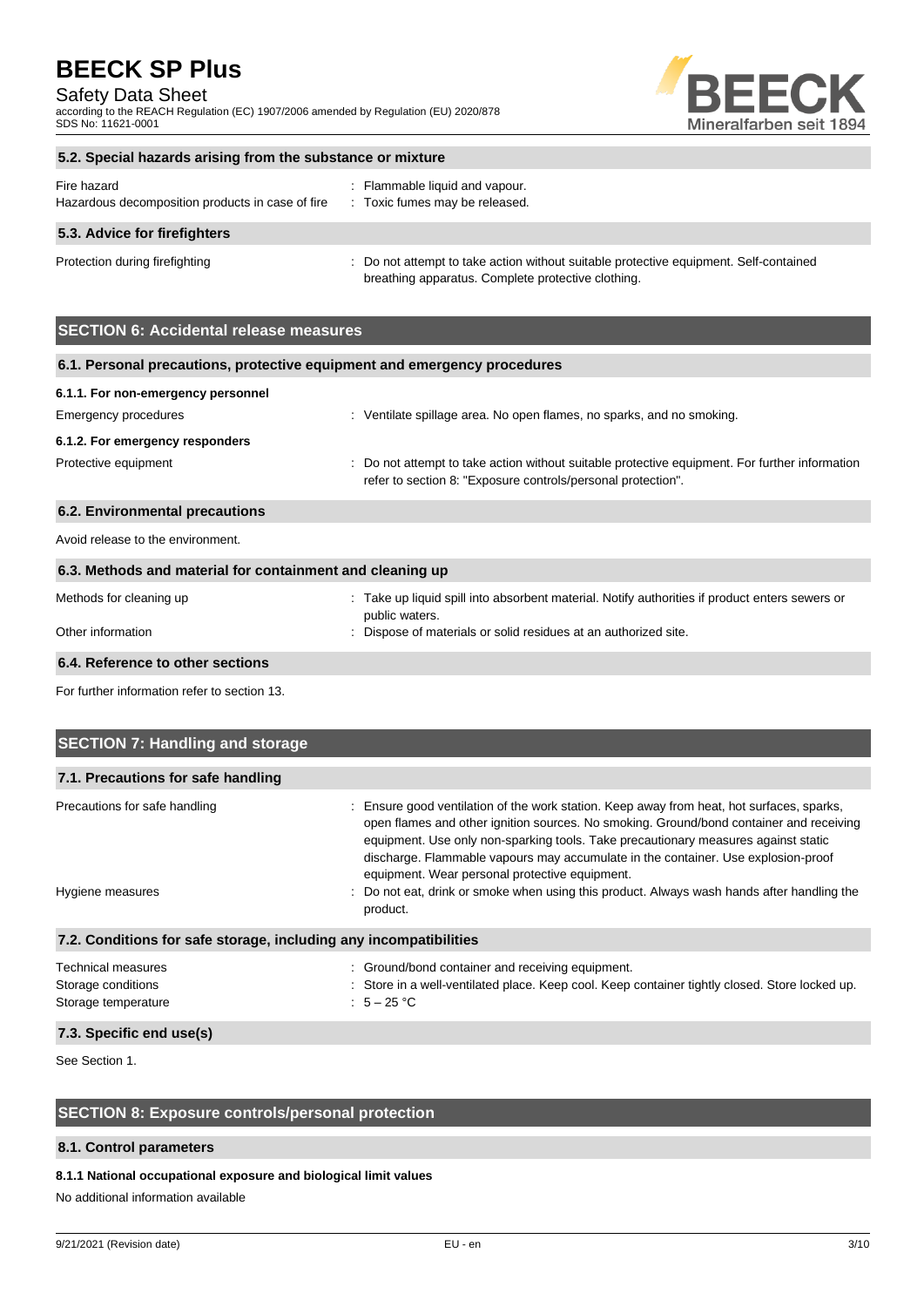## Safety Data Sheet

according to the REACH Regulation (EC) 1907/2006 amended by Regulation (EU) 2020/878 SDS No: 11621-0001



# **5.2. Special hazards arising from the substance or mixture** Fire hazard **in the set of the set of the set of the set of the set of the set of the set of the set of the set of the set of the set of the set of the set of the set of the set of the set of the set of the set of the set**

| Hazardous decomposition products in case of fire | : Toxic fumes may be released.                                                        |
|--------------------------------------------------|---------------------------------------------------------------------------------------|
| 5.3. Advice for firefighters                     |                                                                                       |
| Protection during firefighting                   | : Do not attempt to take action without suitable protective equipment. Self-contained |

breathing apparatus. Complete protective clothing.

# **SECTION 6: Accidental release measures**

| 6.1. Personal precautions, protective equipment and emergency procedures |                                                                                                                                                                |
|--------------------------------------------------------------------------|----------------------------------------------------------------------------------------------------------------------------------------------------------------|
| 6.1.1. For non-emergency personnel                                       |                                                                                                                                                                |
| Emergency procedures                                                     | : Ventilate spillage area. No open flames, no sparks, and no smoking.                                                                                          |
| 6.1.2. For emergency responders                                          |                                                                                                                                                                |
| Protective equipment                                                     | : Do not attempt to take action without suitable protective equipment. For further information<br>refer to section 8: "Exposure controls/personal protection". |
| 6.2. Environmental precautions                                           |                                                                                                                                                                |
| Avoid release to the environment.                                        |                                                                                                                                                                |
| 6.3. Methods and material for containment and cleaning up                |                                                                                                                                                                |

| Methods for cleaning up          | : Take up liquid spill into absorbent material. Notify authorities if product enters sewers or<br>public waters. |
|----------------------------------|------------------------------------------------------------------------------------------------------------------|
| Other information                | : Dispose of materials or solid residues at an authorized site.                                                  |
| 6.4. Reference to other sections |                                                                                                                  |

For further information refer to section 13.

| <b>SECTION 7: Handling and storage</b>                            |                                                                                                                                                                                                                                                                                                                                                                                                                                                                                                                 |
|-------------------------------------------------------------------|-----------------------------------------------------------------------------------------------------------------------------------------------------------------------------------------------------------------------------------------------------------------------------------------------------------------------------------------------------------------------------------------------------------------------------------------------------------------------------------------------------------------|
| 7.1. Precautions for safe handling                                |                                                                                                                                                                                                                                                                                                                                                                                                                                                                                                                 |
| Precautions for safe handling<br>Hygiene measures                 | : Ensure good ventilation of the work station. Keep away from heat, hot surfaces, sparks,<br>open flames and other ignition sources. No smoking. Ground/bond container and receiving<br>equipment. Use only non-sparking tools. Take precautionary measures against static<br>discharge. Flammable vapours may accumulate in the container. Use explosion-proof<br>equipment. Wear personal protective equipment.<br>: Do not eat, drink or smoke when using this product. Always wash hands after handling the |
|                                                                   | product.                                                                                                                                                                                                                                                                                                                                                                                                                                                                                                        |
| 7.2. Conditions for safe storage, including any incompatibilities |                                                                                                                                                                                                                                                                                                                                                                                                                                                                                                                 |
| Technical measures<br>Storage conditions<br>Storage temperature   | : Ground/bond container and receiving equipment.<br>: Store in a well-ventilated place. Keep cool. Keep container tightly closed. Store locked up.<br>: $5-25$ °C                                                                                                                                                                                                                                                                                                                                               |

## **7.3. Specific end use(s)**

See Section 1.

# **SECTION 8: Exposure controls/personal protection**

### **8.1. Control parameters**

### **8.1.1 National occupational exposure and biological limit values**

No additional information available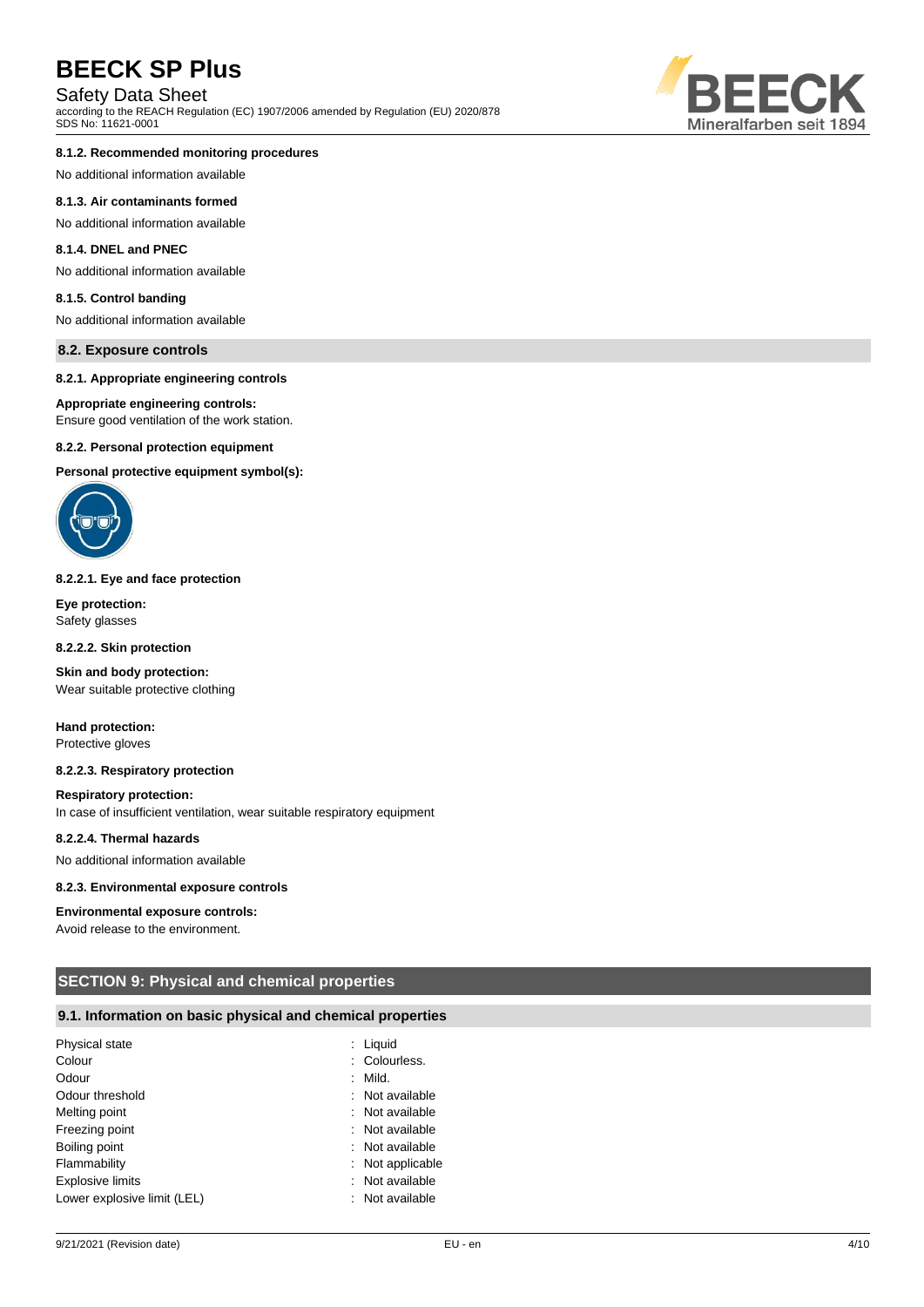# Safety Data Sheet

according to the REACH Regulation (EC) 1907/2006 amended by Regulation (EU) 2020/878 SDS No: 11621-0001

#### **8.1.2. Recommended monitoring procedures**

No additional information available

#### **8.1.3. Air contaminants formed**

No additional information available

### **8.1.4. DNEL and PNEC**

No additional information available

### **8.1.5. Control banding**

No additional information available

#### **8.2. Exposure controls**

#### **8.2.1. Appropriate engineering controls**

#### **Appropriate engineering controls:**

Ensure good ventilation of the work station.

#### **8.2.2. Personal protection equipment**

**Personal protective equipment symbol(s):**



#### **8.2.2.1. Eye and face protection**

**Eye protection:** Safety glasses

**8.2.2.2. Skin protection**

**Skin and body protection:** Wear suitable protective clothing

**Hand protection:** Protective gloves

#### **8.2.2.3. Respiratory protection**

**Respiratory protection:**

In case of insufficient ventilation, wear suitable respiratory equipment

#### **8.2.2.4. Thermal hazards**

No additional information available

#### **8.2.3. Environmental exposure controls**

#### **Environmental exposure controls:**

Avoid release to the environment.

## **SECTION 9: Physical and chemical properties**

#### **9.1. Information on basic physical and chemical properties**

| Physical state              | ÷. | Liquid         |
|-----------------------------|----|----------------|
| Colour                      |    | : Colourless.  |
| Odour                       |    | Mild.          |
| Odour threshold             |    | Not available  |
| Melting point               |    | Not available  |
| Freezing point              |    | Not available  |
| Boiling point               |    | Not available  |
| Flammability                |    | Not applicable |
| <b>Explosive limits</b>     |    | Not available  |
| Lower explosive limit (LEL) |    | Not available  |

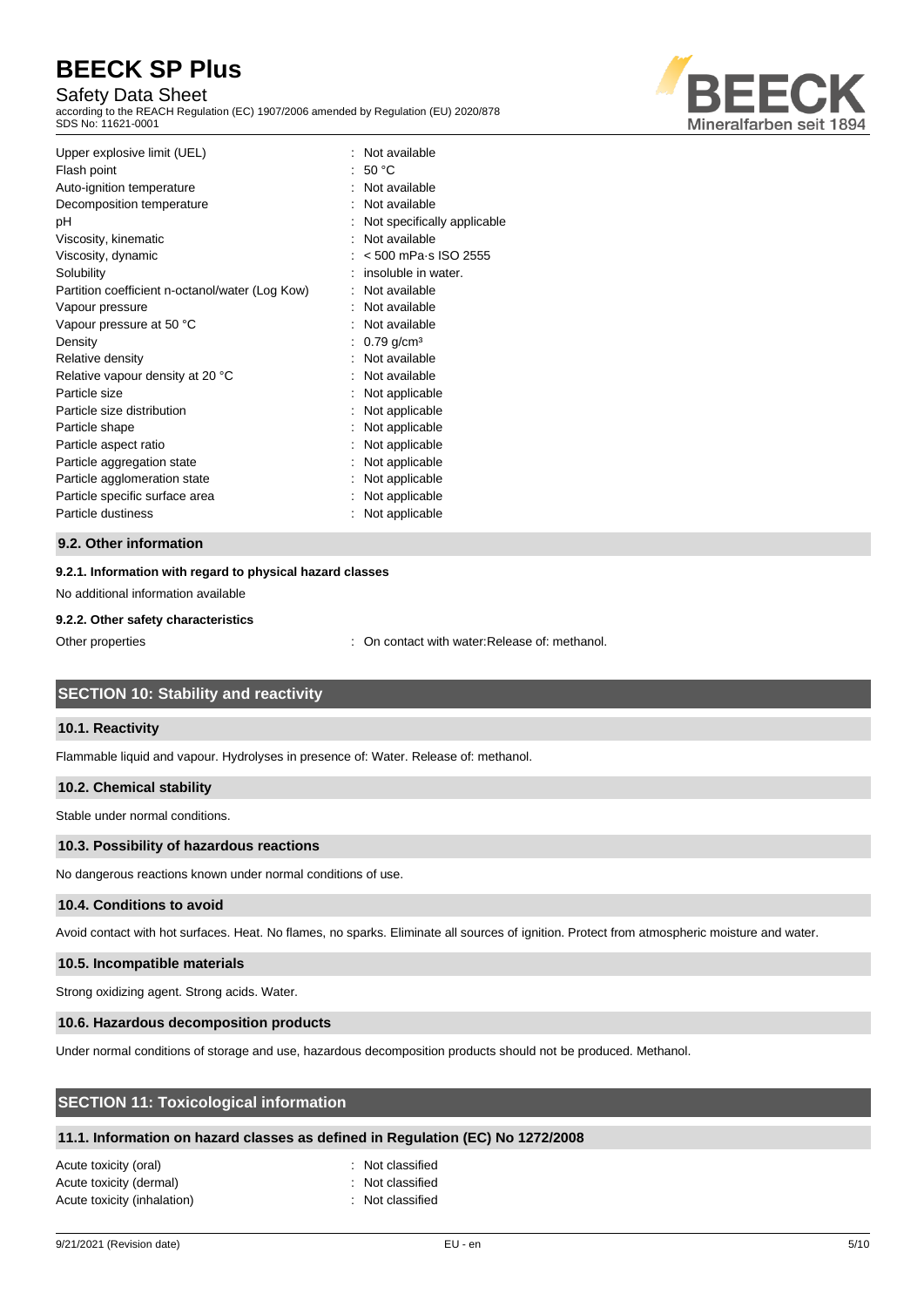# Safety Data Sheet

according to the REACH Regulation (EC) 1907/2006 amended by Regulation (EU) 2020/878 SDS No: 11621-0001



| Upper explosive limit (UEL)<br>Flash point<br>Auto-ignition temperature<br>Decomposition temperature<br>рH<br>Viscosity, kinematic<br>Viscosity, dynamic<br>Solubility<br>Partition coefficient n-octanol/water (Log Kow)<br>Vapour pressure<br>Vapour pressure at 50 °C<br>Density | Not available<br>: 50 °C<br>Not available<br>Not available<br>Not specifically applicable<br>Not available<br>$< 500$ mPa $\cdot$ s ISO 2555<br>insoluble in water.<br>Not available<br>Not available<br>: Not available<br>$0.79$ g/cm <sup>3</sup> |
|-------------------------------------------------------------------------------------------------------------------------------------------------------------------------------------------------------------------------------------------------------------------------------------|------------------------------------------------------------------------------------------------------------------------------------------------------------------------------------------------------------------------------------------------------|
| Relative vapour density at 20 °C<br>Particle size<br>Particle size distribution<br>Particle shape<br>Particle aspect ratio<br>Particle aggregation state<br>Particle agglomeration state<br>Particle specific surface area<br>Particle dustiness                                    | Not available<br>Not applicable<br>Not applicable<br>Not applicable<br>Not applicable<br>Not applicable<br>Not applicable<br>Not applicable<br>Not applicable                                                                                        |

### **9.2. Other information**

## **9.2.1. Information with regard to physical hazard classes**

No additional information available

#### **9.2.2. Other safety characteristics**

Other properties : On contact with water:Release of: methanol.

## **SECTION 10: Stability and reactivity**

### **10.1. Reactivity**

Flammable liquid and vapour. Hydrolyses in presence of: Water. Release of: methanol.

### **10.2. Chemical stability**

Stable under normal conditions.

### **10.3. Possibility of hazardous reactions**

No dangerous reactions known under normal conditions of use.

#### **10.4. Conditions to avoid**

Avoid contact with hot surfaces. Heat. No flames, no sparks. Eliminate all sources of ignition. Protect from atmospheric moisture and water.

## **10.5. Incompatible materials**

Strong oxidizing agent. Strong acids. Water.

## **10.6. Hazardous decomposition products**

Under normal conditions of storage and use, hazardous decomposition products should not be produced. Methanol.

# **SECTION 11: Toxicological information**

# **11.1. Information on hazard classes as defined in Regulation (EC) No 1272/2008**

| Acute toxicity (oral)       |  |
|-----------------------------|--|
| Acute toxicity (dermal)     |  |
| Acute toxicity (inhalation) |  |

: Not classified : Not classified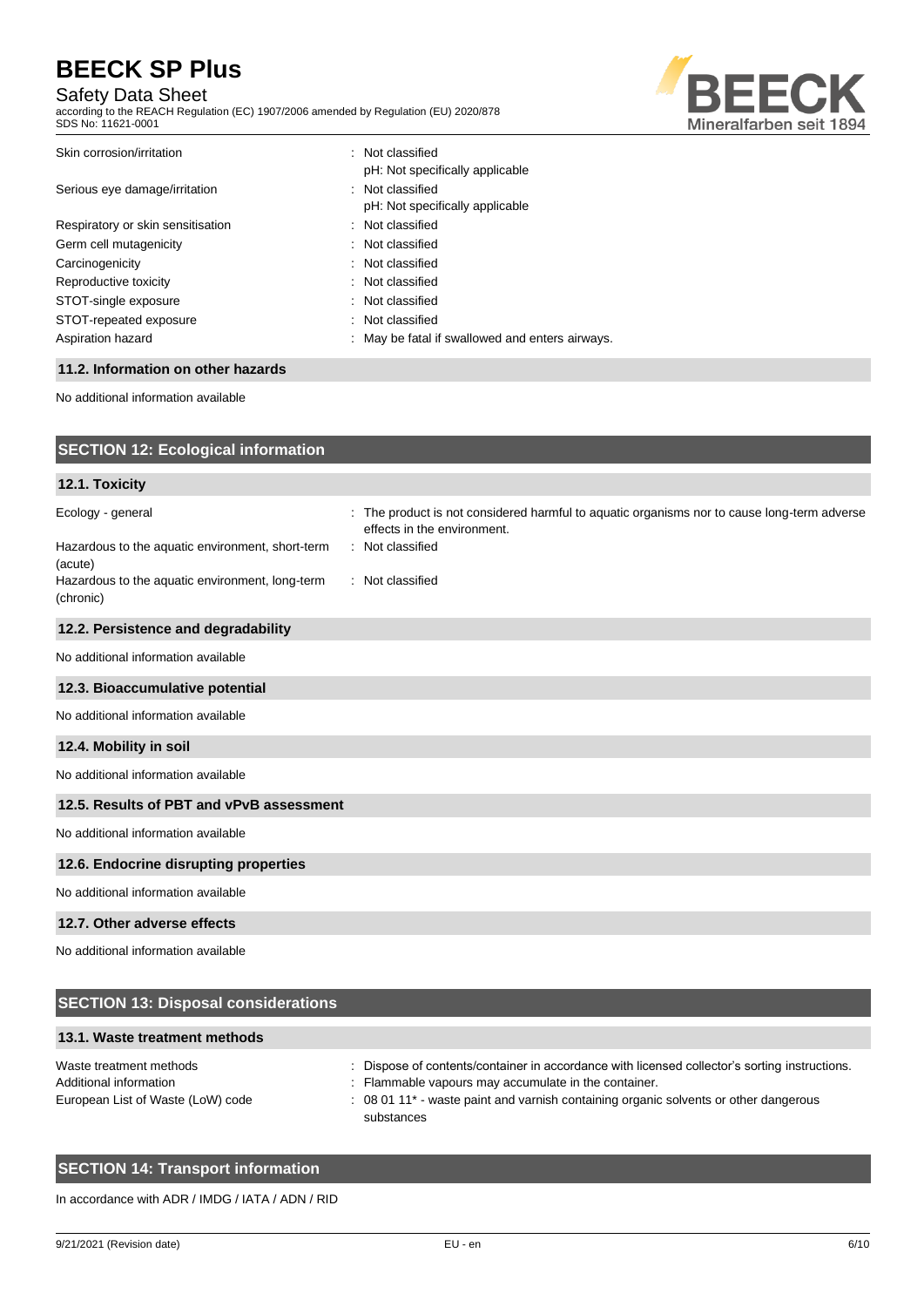# Safety Data Sheet

according to the REACH Regulation (EC) 1907/2006 amended by Regulation (EU) 2020/878 SDS No: 11621-0001



| Skin corrosion/irritation         | : Not classified                                |
|-----------------------------------|-------------------------------------------------|
|                                   | pH: Not specifically applicable                 |
| Serious eye damage/irritation     | : Not classified                                |
|                                   | pH: Not specifically applicable                 |
| Respiratory or skin sensitisation | : Not classified                                |
| Germ cell mutagenicity            | : Not classified                                |
| Carcinogenicity                   | : Not classified                                |
| Reproductive toxicity             | : Not classified                                |
| STOT-single exposure              | : Not classified                                |
| STOT-repeated exposure            | : Not classified                                |
| Aspiration hazard                 | : May be fatal if swallowed and enters airways. |
|                                   |                                                 |

## **11.2. Information on other hazards**

No additional information available

| <b>SECTION 12: Ecological information</b>                    |                                                                                                                            |
|--------------------------------------------------------------|----------------------------------------------------------------------------------------------------------------------------|
| 12.1. Toxicity                                               |                                                                                                                            |
| Ecology - general                                            | : The product is not considered harmful to aquatic organisms nor to cause long-term adverse<br>effects in the environment. |
| Hazardous to the aquatic environment, short-term<br>(acute)  | : Not classified                                                                                                           |
| Hazardous to the aquatic environment, long-term<br>(chronic) | : Not classified                                                                                                           |
| 12.2. Persistence and degradability                          |                                                                                                                            |
| No additional information available                          |                                                                                                                            |
| 12.3. Bioaccumulative potential                              |                                                                                                                            |
| No additional information available                          |                                                                                                                            |
| 12.4. Mobility in soil                                       |                                                                                                                            |
| No additional information available                          |                                                                                                                            |
| 12.5. Results of PBT and vPvB assessment                     |                                                                                                                            |
| No additional information available                          |                                                                                                                            |
| 12.6. Endocrine disrupting properties                        |                                                                                                                            |
| No additional information available                          |                                                                                                                            |
| 12.7. Other adverse effects                                  |                                                                                                                            |
| No additional information available                          |                                                                                                                            |

| <b>SECTION 13: Disposal considerations</b>                                             |                                                                                                                                                                                                                                                                         |
|----------------------------------------------------------------------------------------|-------------------------------------------------------------------------------------------------------------------------------------------------------------------------------------------------------------------------------------------------------------------------|
| 13.1. Waste treatment methods                                                          |                                                                                                                                                                                                                                                                         |
| Waste treatment methods<br>Additional information<br>European List of Waste (LoW) code | : Dispose of contents/container in accordance with licensed collector's sorting instructions.<br>: Flammable vapours may accumulate in the container.<br>: 08 01 11 <sup>*</sup> - waste paint and varnish containing organic solvents or other dangerous<br>substances |

# **SECTION 14: Transport information**

In accordance with ADR / IMDG / IATA / ADN / RID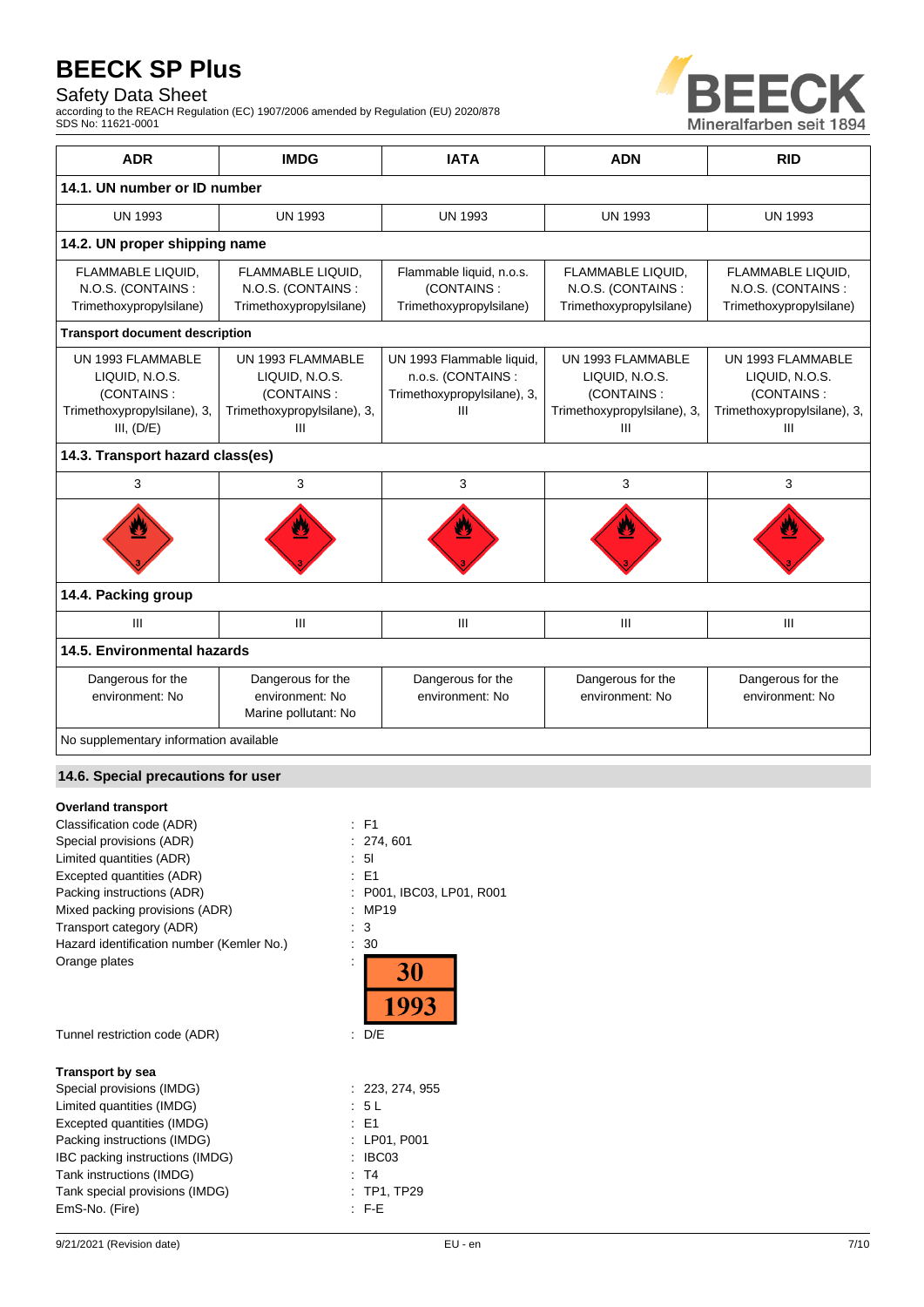# Safety Data Sheet

according to the REACH Regulation (EC) 1907/2006 amended by Regulation (EU) 2020/878 SDS No: 11621-0001



| <b>ADR</b>                                                                                                                                                                                                                                            | <b>IMDG</b>                                                                           | <b>IATA</b>                                                                         | <b>ADN</b>                                                                            | <b>RID</b>                                                                            |  |
|-------------------------------------------------------------------------------------------------------------------------------------------------------------------------------------------------------------------------------------------------------|---------------------------------------------------------------------------------------|-------------------------------------------------------------------------------------|---------------------------------------------------------------------------------------|---------------------------------------------------------------------------------------|--|
| 14.1. UN number or ID number                                                                                                                                                                                                                          |                                                                                       |                                                                                     |                                                                                       |                                                                                       |  |
| <b>UN 1993</b>                                                                                                                                                                                                                                        | <b>UN 1993</b>                                                                        | <b>UN 1993</b>                                                                      | <b>UN 1993</b>                                                                        | <b>UN 1993</b>                                                                        |  |
| 14.2. UN proper shipping name                                                                                                                                                                                                                         |                                                                                       |                                                                                     |                                                                                       |                                                                                       |  |
| FLAMMABLE LIQUID,<br>FLAMMABLE LIQUID,<br>Flammable liquid, n.o.s.<br>FLAMMABLE LIQUID,<br>N.O.S. (CONTAINS:<br>N.O.S. (CONTAINS:<br>(CONTAINS:<br>N.O.S. (CONTAINS:<br>Trimethoxypropylsilane)<br>Trimethoxypropylsilane)<br>Trimethoxypropylsilane) |                                                                                       | Trimethoxypropylsilane)                                                             | FLAMMABLE LIQUID,<br>N.O.S. (CONTAINS:<br>Trimethoxypropylsilane)                     |                                                                                       |  |
| <b>Transport document description</b>                                                                                                                                                                                                                 |                                                                                       |                                                                                     |                                                                                       |                                                                                       |  |
| UN 1993 FLAMMABLE<br>LIQUID, N.O.S.<br>(CONTAINS:<br>Trimethoxypropylsilane), 3,<br>III, (D/E)                                                                                                                                                        | UN 1993 FLAMMABLE<br>LIQUID, N.O.S.<br>(CONTAINS:<br>Trimethoxypropylsilane), 3,<br>Ш | UN 1993 Flammable liquid,<br>n.o.s. (CONTAINS :<br>Trimethoxypropylsilane), 3,<br>Ш | UN 1993 FLAMMABLE<br>LIQUID, N.O.S.<br>(CONTAINS:<br>Trimethoxypropylsilane), 3,<br>Ш | UN 1993 FLAMMABLE<br>LIQUID, N.O.S.<br>(CONTAINS:<br>Trimethoxypropylsilane), 3,<br>Ш |  |
| 14.3. Transport hazard class(es)                                                                                                                                                                                                                      |                                                                                       |                                                                                     |                                                                                       |                                                                                       |  |
| 3                                                                                                                                                                                                                                                     | 3                                                                                     | 3                                                                                   | 3                                                                                     | 3                                                                                     |  |
|                                                                                                                                                                                                                                                       |                                                                                       |                                                                                     |                                                                                       |                                                                                       |  |
| 14.4. Packing group                                                                                                                                                                                                                                   |                                                                                       |                                                                                     |                                                                                       |                                                                                       |  |
| III                                                                                                                                                                                                                                                   | III                                                                                   | III                                                                                 | Ш                                                                                     | III                                                                                   |  |
| 14.5. Environmental hazards                                                                                                                                                                                                                           |                                                                                       |                                                                                     |                                                                                       |                                                                                       |  |
| Dangerous for the<br>environment: No                                                                                                                                                                                                                  | Dangerous for the<br>environment: No<br>Marine pollutant: No                          | Dangerous for the<br>environment: No                                                | Dangerous for the<br>environment: No                                                  | Dangerous for the<br>environment: No                                                  |  |
| No supplementary information available                                                                                                                                                                                                                |                                                                                       |                                                                                     |                                                                                       |                                                                                       |  |

## **14.6. Special precautions for user**

## **Overland transport**

| Classification code (ADR)                 | F1                      |
|-------------------------------------------|-------------------------|
| Special provisions (ADR)                  | 274, 601                |
| Limited quantities (ADR)                  | 5 <sub>l</sub>          |
| Excepted quantities (ADR)                 | E1<br>÷.                |
| Packing instructions (ADR)                | P001, IBC03, LP01, R001 |
| Mixed packing provisions (ADR)            | MP19                    |
| Transport category (ADR)                  | 3                       |
| Hazard identification number (Kemler No.) | 30                      |
| Orange plates                             | 30                      |
| Tunnel restriction code (ADR)             | D/E<br>t.               |
| <b>Transport by sea</b>                   |                         |
| Special provisions (IMDG)                 | : 223, 274, 955         |
| Limited quantities (IMDG)                 | : 5 L                   |
| Excepted quantities (IMDG)                | : E1                    |
| Packing instructions (IMDG)               | LP01, P001              |
| IBC packing instructions (IMDG)           | IBC03                   |
| Tank instructions (IMDG)                  | T <sub>4</sub>          |
| Tank special provisions (IMDG)            | <b>TP1, TP29</b>        |
| EmS-No. (Fire)                            | F-E                     |
|                                           |                         |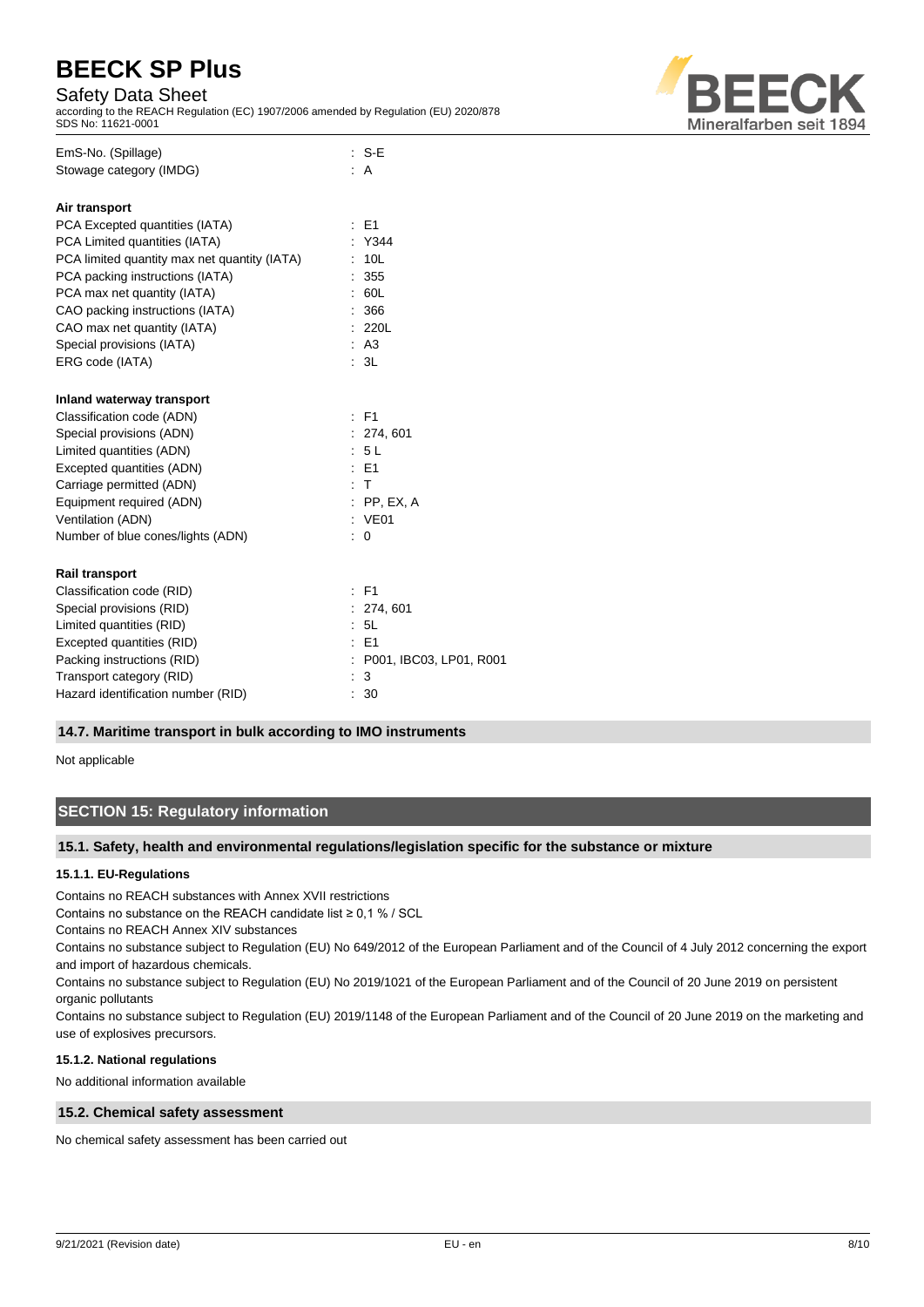## Safety Data Sheet

according to the REACH Regulation (EC) 1907/2006 amended by Regulation (EU) 2020/878 SDS No: 11621-0001



| EmS-No. (Spillage)                           |                      | : S-E                     |
|----------------------------------------------|----------------------|---------------------------|
| Stowage category (IMDG)                      |                      | : A                       |
| Air transport                                |                      |                           |
| PCA Excepted quantities (IATA)               |                      | E <sub>1</sub>            |
| PCA Limited quantities (IATA)                |                      | : Y344                    |
| PCA limited quantity max net quantity (IATA) |                      | 10L                       |
| PCA packing instructions (IATA)              |                      | 355                       |
| PCA max net quantity (IATA)                  |                      | 60L                       |
| CAO packing instructions (IATA)              |                      | 366                       |
| CAO max net quantity (IATA)                  |                      | 220L                      |
| Special provisions (IATA)                    |                      | : A3                      |
| ERG code (IATA)                              |                      | : 3L                      |
| Inland waterway transport                    |                      |                           |
| Classification code (ADN)                    | $\ddot{\phantom{a}}$ | <b>F1</b>                 |
| Special provisions (ADN)                     |                      | : 274, 601                |
| Limited quantities (ADN)                     |                      | : 5L                      |
| Excepted quantities (ADN)                    |                      | $E = 51$                  |
| Carriage permitted (ADN)                     |                      | : T                       |
| Equipment required (ADN)                     |                      | $:$ PP, EX, A             |
| Ventilation (ADN)                            |                      | : VE01                    |
| Number of blue cones/lights (ADN)            | t                    | 0                         |
| <b>Rail transport</b>                        |                      |                           |
| Classification code (RID)                    |                      | $:$ F1                    |
| Special provisions (RID)                     |                      | : 274, 601                |
| Limited quantities (RID)                     |                      | 5L                        |
| Excepted quantities (RID)                    |                      | $\pm$ E1                  |
| Packing instructions (RID)                   |                      | : P001, IBC03, LP01, R001 |
| Transport category (RID)                     |                      | 3                         |
| Hazard identification number (RID)           | ÷                    | 30                        |

### **14.7. Maritime transport in bulk according to IMO instruments**

Not applicable

# **SECTION 15: Regulatory information**

### **15.1. Safety, health and environmental regulations/legislation specific for the substance or mixture**

### **15.1.1. EU-Regulations**

Contains no REACH substances with Annex XVII restrictions

Contains no substance on the REACH candidate list  $\geq 0.1$  % / SCL

Contains no REACH Annex XIV substances

Contains no substance subject to Regulation (EU) No 649/2012 of the European Parliament and of the Council of 4 July 2012 concerning the export and import of hazardous chemicals.

Contains no substance subject to Regulation (EU) No 2019/1021 of the European Parliament and of the Council of 20 June 2019 on persistent organic pollutants

Contains no substance subject to Regulation (EU) 2019/1148 of the European Parliament and of the Council of 20 June 2019 on the marketing and use of explosives precursors.

#### **15.1.2. National regulations**

No additional information available

### **15.2. Chemical safety assessment**

No chemical safety assessment has been carried out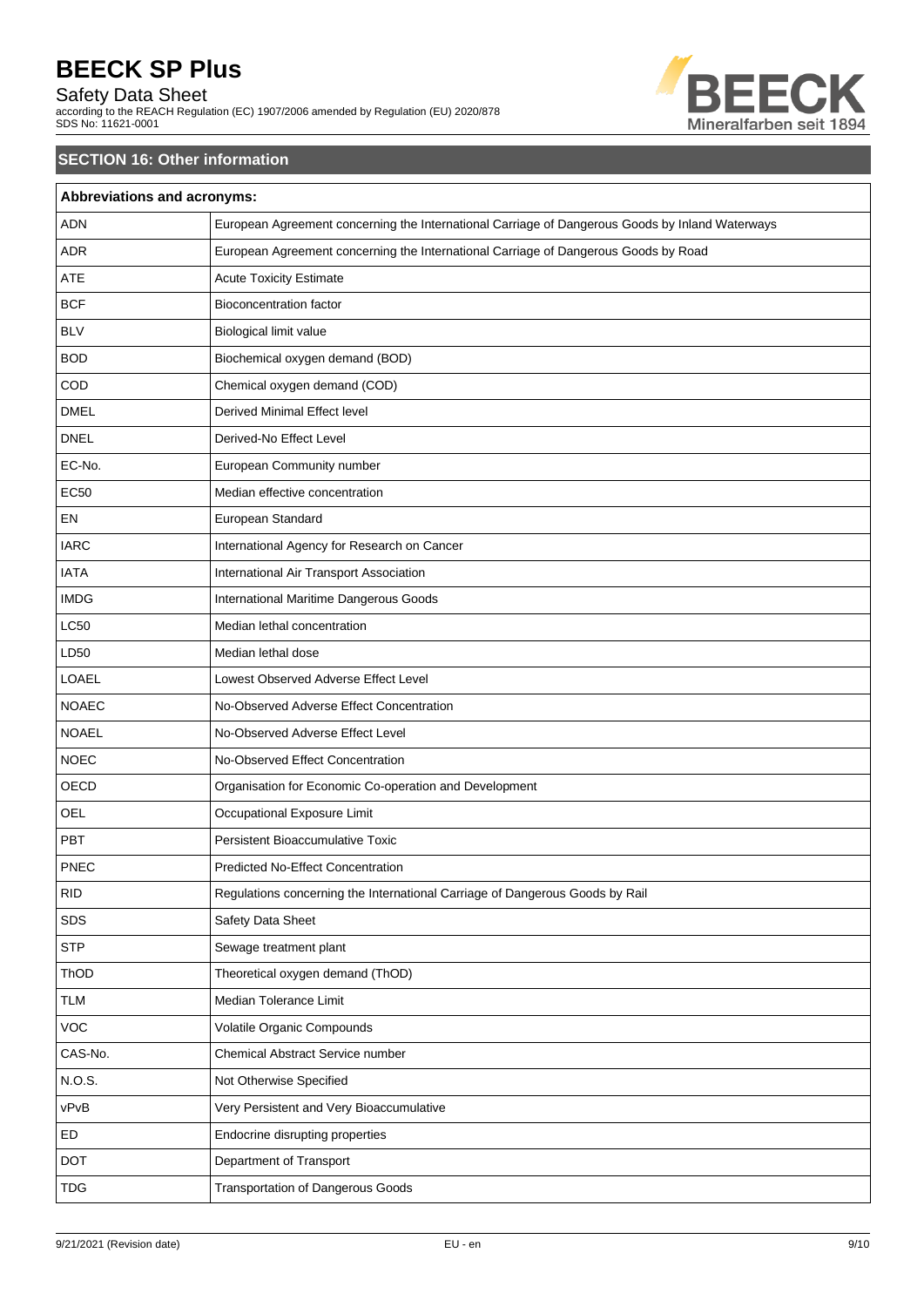# Safety Data Sheet

according to the REACH Regulation (EC) 1907/2006 amended by Regulation (EU) 2020/878 SDS No: 11621-0001



# **SECTION 16: Other information**

| Abbreviations and acronyms: |                                                                                                 |
|-----------------------------|-------------------------------------------------------------------------------------------------|
| <b>ADN</b>                  | European Agreement concerning the International Carriage of Dangerous Goods by Inland Waterways |
| <b>ADR</b>                  | European Agreement concerning the International Carriage of Dangerous Goods by Road             |
| <b>ATE</b>                  | <b>Acute Toxicity Estimate</b>                                                                  |
| <b>BCF</b>                  | <b>Bioconcentration factor</b>                                                                  |
| <b>BLV</b>                  | Biological limit value                                                                          |
| <b>BOD</b>                  | Biochemical oxygen demand (BOD)                                                                 |
| COD                         | Chemical oxygen demand (COD)                                                                    |
| <b>DMEL</b>                 | Derived Minimal Effect level                                                                    |
| <b>DNEL</b>                 | Derived-No Effect Level                                                                         |
| EC-No.                      | European Community number                                                                       |
| <b>EC50</b>                 | Median effective concentration                                                                  |
| EN                          | European Standard                                                                               |
| <b>IARC</b>                 | International Agency for Research on Cancer                                                     |
| <b>IATA</b>                 | International Air Transport Association                                                         |
| <b>IMDG</b>                 | International Maritime Dangerous Goods                                                          |
| <b>LC50</b>                 | Median lethal concentration                                                                     |
| LD50                        | Median lethal dose                                                                              |
| LOAEL                       | Lowest Observed Adverse Effect Level                                                            |
| <b>NOAEC</b>                | No-Observed Adverse Effect Concentration                                                        |
| <b>NOAEL</b>                | No-Observed Adverse Effect Level                                                                |
| <b>NOEC</b>                 | No-Observed Effect Concentration                                                                |
| OECD                        | Organisation for Economic Co-operation and Development                                          |
| <b>OEL</b>                  | Occupational Exposure Limit                                                                     |
| PBT                         | Persistent Bioaccumulative Toxic                                                                |
| PNEC                        | <b>Predicted No-Effect Concentration</b>                                                        |
| <b>RID</b>                  | Regulations concerning the International Carriage of Dangerous Goods by Rail                    |
| SDS                         | Safety Data Sheet                                                                               |
| <b>STP</b>                  | Sewage treatment plant                                                                          |
| ThOD                        | Theoretical oxygen demand (ThOD)                                                                |
| <b>TLM</b>                  | Median Tolerance Limit                                                                          |
| <b>VOC</b>                  | Volatile Organic Compounds                                                                      |
| CAS-No.                     | Chemical Abstract Service number                                                                |
| N.O.S.                      | Not Otherwise Specified                                                                         |
| vPvB                        | Very Persistent and Very Bioaccumulative                                                        |
| ED                          | Endocrine disrupting properties                                                                 |
| <b>DOT</b>                  | Department of Transport                                                                         |
| <b>TDG</b>                  | <b>Transportation of Dangerous Goods</b>                                                        |
|                             |                                                                                                 |